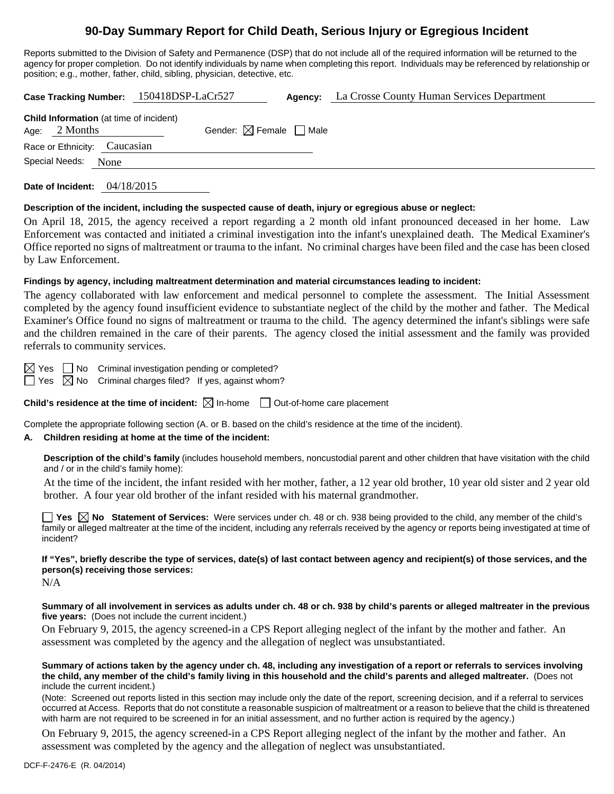# **90-Day Summary Report for Child Death, Serious Injury or Egregious Incident**

Reports submitted to the Division of Safety and Permanence (DSP) that do not include all of the required information will be returned to the agency for proper completion. Do not identify individuals by name when completing this report. Individuals may be referenced by relationship or position; e.g., mother, father, child, sibling, physician, detective, etc.

|                                                                   | Case Tracking Number: 150418DSP-LaCr527 |                                        | Agency: | La Crosse County Human Services Department |
|-------------------------------------------------------------------|-----------------------------------------|----------------------------------------|---------|--------------------------------------------|
| <b>Child Information</b> (at time of incident)<br>Age: $2$ Months |                                         | Gender: $\boxtimes$ Female $\Box$ Male |         |                                            |
| Race or Ethnicity: Caucasian                                      |                                         |                                        |         |                                            |
| Special Needs:<br>None                                            |                                         |                                        |         |                                            |

**Date of Incident:** 04/18/2015

#### **Description of the incident, including the suspected cause of death, injury or egregious abuse or neglect:**

On April 18, 2015, the agency received a report regarding a 2 month old infant pronounced deceased in her home. Law Enforcement was contacted and initiated a criminal investigation into the infant's unexplained death. The Medical Examiner's Office reported no signs of maltreatment or trauma to the infant. No criminal charges have been filed and the case has been closed by Law Enforcement.

## **Findings by agency, including maltreatment determination and material circumstances leading to incident:**

The agency collaborated with law enforcement and medical personnel to complete the assessment. The Initial Assessment completed by the agency found insufficient evidence to substantiate neglect of the child by the mother and father. The Medical Examiner's Office found no signs of maltreatment or trauma to the child. The agency determined the infant's siblings were safe and the children remained in the care of their parents. The agency closed the initial assessment and the family was provided referrals to community services.

 $\boxtimes$  Yes  $\Box$  No Criminal investigation pending or completed?

 $\Box$  Yes  $\boxtimes$  No Criminal charges filed? If yes, against whom?

**Child's residence at the time of incident:**  $\boxtimes$  In-home  $\Box$  Out-of-home care placement

Complete the appropriate following section (A. or B. based on the child's residence at the time of the incident).

# **A. Children residing at home at the time of the incident:**

**Description of the child's family** (includes household members, noncustodial parent and other children that have visitation with the child and / or in the child's family home):

 At the time of the incident, the infant resided with her mother, father, a 12 year old brother, 10 year old sister and 2 year old brother. A four year old brother of the infant resided with his maternal grandmother.

**Yes No Statement of Services:** Were services under ch. 48 or ch. 938 being provided to the child, any member of the child's family or alleged maltreater at the time of the incident, including any referrals received by the agency or reports being investigated at time of incident?

**If "Yes", briefly describe the type of services, date(s) of last contact between agency and recipient(s) of those services, and the person(s) receiving those services:** 

N/A

**Summary of all involvement in services as adults under ch. 48 or ch. 938 by child's parents or alleged maltreater in the previous five years:** (Does not include the current incident.)

On February 9, 2015, the agency screened-in a CPS Report alleging neglect of the infant by the mother and father. An assessment was completed by the agency and the allegation of neglect was unsubstantiated.

**Summary of actions taken by the agency under ch. 48, including any investigation of a report or referrals to services involving the child, any member of the child's family living in this household and the child's parents and alleged maltreater.** (Does not include the current incident.)

(Note: Screened out reports listed in this section may include only the date of the report, screening decision, and if a referral to services occurred at Access. Reports that do not constitute a reasonable suspicion of maltreatment or a reason to believe that the child is threatened with harm are not required to be screened in for an initial assessment, and no further action is required by the agency.)

On February 9, 2015, the agency screened-in a CPS Report alleging neglect of the infant by the mother and father. An assessment was completed by the agency and the allegation of neglect was unsubstantiated.